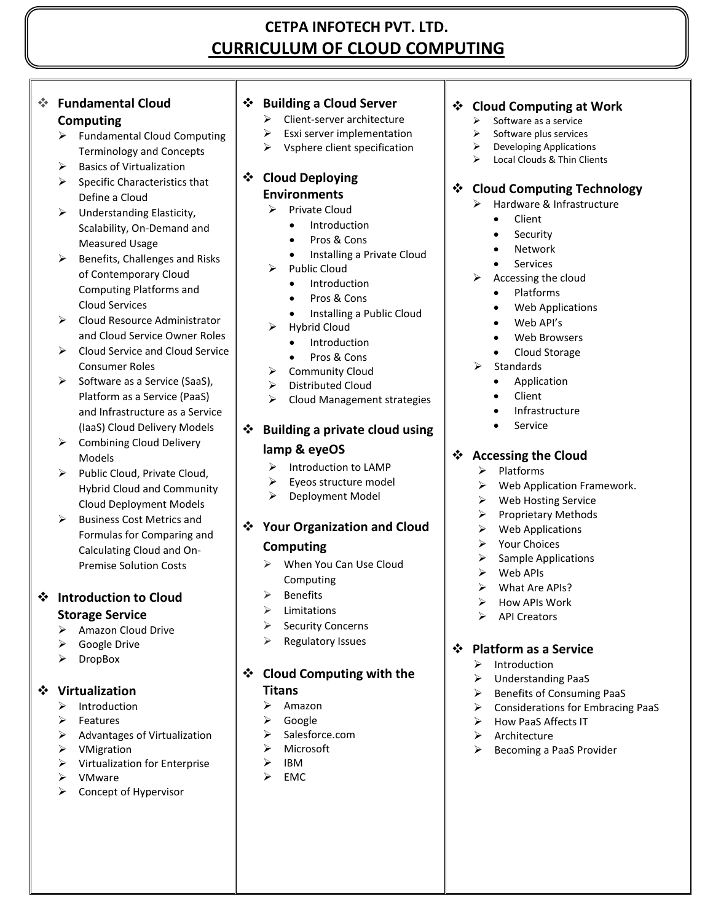# **CETPA INFOTECH PVT. LTD. CURRICULUM OF CLOUD COMPUTING**

# **Fundamental Cloud**

## **Computing**

- Fundamental Cloud Computing Terminology and Concepts
- Basics of Virtualization
- $\triangleright$  Specific Characteristics that Define a Cloud
- $\triangleright$  Understanding Elasticity, Scalability, On-Demand and Measured Usage
- $\triangleright$  Benefits, Challenges and Risks of Contemporary Cloud Computing Platforms and Cloud Services
- ▶ Cloud Resource Administrator and Cloud Service Owner Roles
- $\triangleright$  Cloud Service and Cloud Service Consumer Roles
- $\triangleright$  Software as a Service (SaaS), Platform as a Service (PaaS) and Infrastructure as a Service (IaaS) Cloud Delivery Models
- $\triangleright$  Combining Cloud Delivery Models
- $\triangleright$  Public Cloud, Private Cloud, Hybrid Cloud and Community Cloud Deployment Models
- $\triangleright$  Business Cost Metrics and Formulas for Comparing and Calculating Cloud and On-Premise Solution Costs

# **Introduction to Cloud Storage Service**

- $\triangleright$  Amazon Cloud Drive
- Google Drive
- > DropBox

# **Virtualization**

- $\triangleright$  Introduction
- $\triangleright$  Features
- $\triangleright$  Advantages of Virtualization
- **▶** VMigration
- $\triangleright$  Virtualization for Enterprise
- VMware
- $\triangleright$  Concept of Hypervisor

# **Building a Cloud Server**

- $\triangleright$  Client-server architecture
- $\triangleright$  Esxi server implementation
- $\triangleright$  Vsphere client specification

## **Cloud Deploying Environments**

- $\triangleright$  Private Cloud
	- Introduction
	- Pros & Cons
	- Installing a Private Cloud
- $\triangleright$  Public Cloud
	- Introduction
	- Pros & Cons
	- Installing a Public Cloud
- $\triangleright$  Hybrid Cloud
	- Introduction
	- Pros & Cons
- $\triangleright$  Community Cloud
- Distributed Cloud
- $\triangleright$  Cloud Management strategies

# **Building a private cloud using**

# **lamp & eyeOS**

- $\triangleright$  Introduction to LAMP
- $\triangleright$  Eyeos structure model
- $\triangleright$  Deployment Model

# **Your Organization and Cloud Computing**

- When You Can Use Cloud Computing
- $\triangleright$  Benefits
- $\triangleright$  Limitations
- $\triangleright$  Security Concerns
- $\triangleright$  Regulatory Issues

# **Cloud Computing with the**

# **Titans**

- $\triangleright$  Amazon
- Google
- $\triangleright$  Salesforce.com
- > Microsoft
- $\triangleright$  IBM
- $\triangleright$  EMC

# **Cloud Computing at Work**

- Software as a service
- $\triangleright$  Software plus services
- Developing Applications
- Local Clouds & Thin Clients

# **Cloud Computing Technology**

- > Hardware & Infrastructure
	- Client
	- Security
	- Network
	- Services
- $\triangleright$  Accessing the cloud
	- Platforms
	- Web Applications
	- Web API's
	- Web Browsers
	- Cloud Storage
- Standards
	- Application
	- Client
	- Infrastructure
	- Service

# **Accessing the Cloud**

- $\triangleright$  Platforms
- $\triangleright$  Web Application Framework.
- Web Hosting Service
- $\triangleright$  Proprietary Methods
- $\triangleright$  Web Applications
- $\triangleright$  Your Choices
- $\triangleright$  Sample Applications
- $\triangleright$  Web APIs
- $\triangleright$  What Are APIs?
- How APIs Work
- $\triangleright$  API Creators

# **Platform as a Service**

 Understanding PaaS  $\triangleright$  Benefits of Consuming PaaS  $\triangleright$  Considerations for Embracing PaaS

 $\triangleright$  How PaaS Affects IT  $\triangleright$  Architecture

 $\triangleright$  Becoming a PaaS Provider

 $\triangleright$  Introduction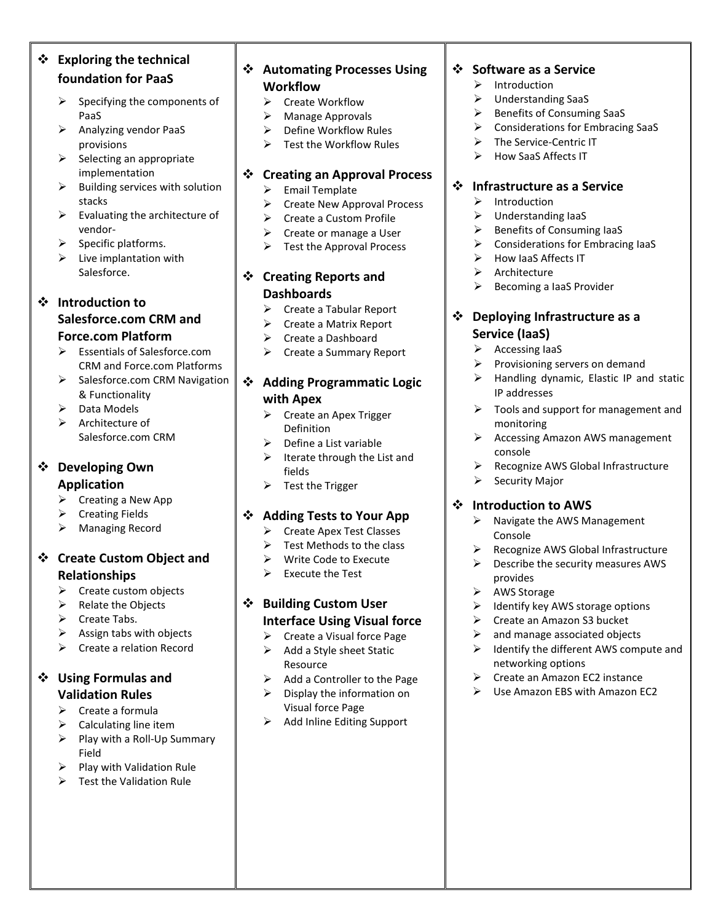| ❖ | <b>Exploring the technical</b>                                                                         |  |  |  |
|---|--------------------------------------------------------------------------------------------------------|--|--|--|
|   | foundation for PaaS                                                                                    |  |  |  |
|   | Specifying the components of<br>⋗<br>PaaS                                                              |  |  |  |
|   | ⋗<br>Analyzing vendor PaaS                                                                             |  |  |  |
|   | provisions<br>➤<br>Selecting an appropriate                                                            |  |  |  |
|   | implementation                                                                                         |  |  |  |
|   | ⋗<br>Building services with solution                                                                   |  |  |  |
|   | stacks<br>⋗<br>Evaluating the architecture of                                                          |  |  |  |
|   | vendor-                                                                                                |  |  |  |
|   | $\blacktriangleright$<br>Specific platforms.                                                           |  |  |  |
|   | $\blacktriangleright$<br>Live implantation with<br>Salesforce.                                         |  |  |  |
|   | <b>Introduction to</b>                                                                                 |  |  |  |
|   | Salesforce.com CRM and                                                                                 |  |  |  |
|   | <b>Force.com Platform</b>                                                                              |  |  |  |
|   | <b>Essentials of Salesforce.com</b><br>⋗                                                               |  |  |  |
|   | CRM and Force.com Platforms                                                                            |  |  |  |
|   | ➤<br>Salesforce.com CRM Navigation<br>& Functionality                                                  |  |  |  |
|   | $\blacktriangleright$<br>Data Models                                                                   |  |  |  |
|   | $\blacktriangleright$<br>Architecture of                                                               |  |  |  |
|   | Salesforce.com CRM                                                                                     |  |  |  |
|   |                                                                                                        |  |  |  |
|   | <b>Developing Own</b>                                                                                  |  |  |  |
|   | <b>Application</b>                                                                                     |  |  |  |
|   | Creating a New App<br>➤                                                                                |  |  |  |
|   | <b>Creating Fields</b><br>$\blacktriangleright$                                                        |  |  |  |
|   | ≻<br><b>Managing Record</b>                                                                            |  |  |  |
|   | <b>Create Custom Object and</b>                                                                        |  |  |  |
|   | Relationships                                                                                          |  |  |  |
|   | ➤<br>Create custom objects                                                                             |  |  |  |
|   | $\blacktriangleright$<br>Relate the Objects                                                            |  |  |  |
|   | $\blacktriangleright$<br>Create Tabs.                                                                  |  |  |  |
|   | $\blacktriangleright$<br>Assign tabs with objects<br>$\blacktriangleright$<br>Create a relation Record |  |  |  |
|   |                                                                                                        |  |  |  |
|   | <b>Using Formulas and</b>                                                                              |  |  |  |
|   | <b>Validation Rules</b><br>➤<br>Create a formula                                                       |  |  |  |
|   | $\blacktriangleright$<br>Calculating line item                                                         |  |  |  |
|   | $\blacktriangleright$<br>Play with a Roll-Up Summary                                                   |  |  |  |
|   | Field                                                                                                  |  |  |  |
|   | Play with Validation Rule<br>≻                                                                         |  |  |  |
|   | $\blacktriangleright$<br><b>Test the Validation Rule</b>                                               |  |  |  |
|   |                                                                                                        |  |  |  |
|   |                                                                                                        |  |  |  |

# **Workflow**  $\triangleright$  Create Workflow  $\triangleright$  Manage Approvals Define Workflow Rules  $\triangleright$  Test the Workflow Rules

**Automating Processes Using** 

### **Creating an Approval Process**

- $\triangleright$  Email Template
- **►** Create New Approval Process
- ▶ Create a Custom Profile
- $\triangleright$  Create or manage a User
- $\triangleright$  Test the Approval Process

## **Creating Reports and Dashboards**

- $\triangleright$  Create a Tabular Report
- $\triangleright$  Create a Matrix Report
- ▶ Create a Dashboard
- Create a Summary Report

#### **Adding Programmatic Logic with Apex**

- $\triangleright$  Create an Apex Trigger Definition
- Define a List variable
- $\triangleright$  Iterate through the List and fields
- $\triangleright$  Test the Trigger

#### **Adding Tests to Your App**

- ▶ Create Apex Test Classes
- $\triangleright$  Test Methods to the class
- Write Code to Execute
- $\triangleright$  Execute the Test

## **Building Custom User Interface Using Visual force**

- $\triangleright$  Create a Visual force Page
- $\triangleright$  Add a Style sheet Static Resource
- $\triangleright$  Add a Controller to the Page
- $\triangleright$  Display the information on Visual force Page
- $\triangleright$  Add Inline Editing Support

# **Software as a Service**

- $\triangleright$  Introduction
- Understanding SaaS
- $\triangleright$  Benefits of Consuming SaaS
	- $\triangleright$  Considerations for Embracing SaaS
	- > The Service-Centric IT
	- $\triangleright$  How SaaS Affects IT

## **Infrastructure as a Service**

- $\triangleright$  Introduction
- $\triangleright$  Understanding IaaS
- $\triangleright$  Benefits of Consuming IaaS
- $\triangleright$  Considerations for Embracing IaaS
- $\triangleright$  How IaaS Affects IT
- $\triangleright$  Architecture
- $\triangleright$  Becoming a laaS Provider

## **Deploying Infrastructure as a Service (IaaS)**

- $\triangleright$  Accessing IaaS
- $\triangleright$  Provisioning servers on demand
- $\triangleright$  Handling dynamic, Elastic IP and static IP addresses
- $\triangleright$  Tools and support for management and monitoring
- $\triangleright$  Accessing Amazon AWS management console
- $\triangleright$  Recognize AWS Global Infrastructure
- $\triangleright$  Security Major

#### **Introduction to AWS**

- $\triangleright$  Navigate the AWS Management Console
- Recognize AWS Global Infrastructure
- $\triangleright$  Describe the security measures AWS provides
- **▶** AWS Storage
- $\triangleright$  Identify key AWS storage options
- Create an Amazon S3 bucket
- $\triangleright$  and manage associated objects
- $\triangleright$  Identify the different AWS compute and networking options
- $\triangleright$  Create an Amazon EC2 instance
- Use Amazon EBS with Amazon EC2